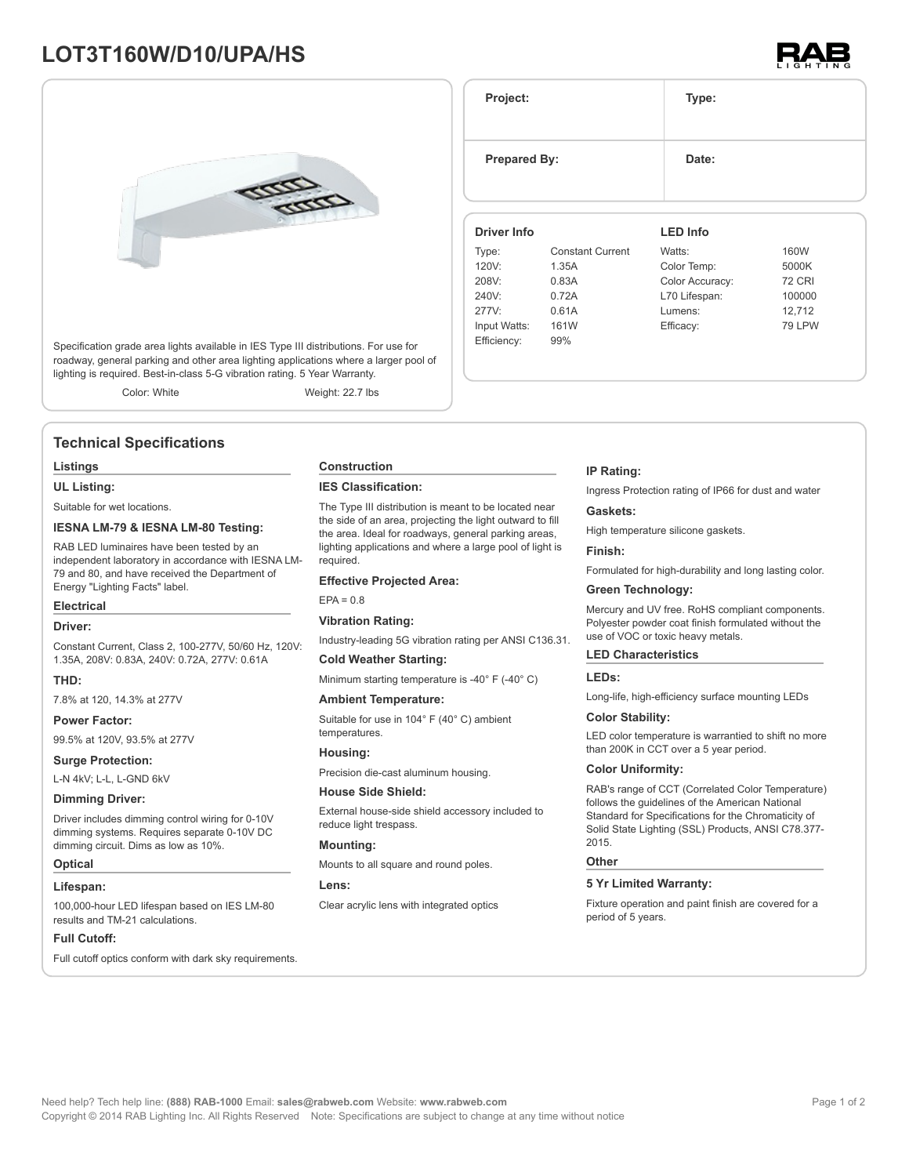## **LOT3T160W/D10/UPA/HS**



Specification grade area lights available in IES Type III distributions. For use for roadway, general parking and other area lighting applications where a larger pool of lighting is required. Best-in-class 5-G vibration rating. 5 Year Warranty.

Color: White Weight: 22.7 lbs

## **Technical Specifications**

#### **Listings**

**UL Listing:**

Suitable for wet locations.

#### **IESNA LM-79 & IESNA LM-80 Testing:**

RAB LED luminaires have been tested by an independent laboratory in accordance with IESNA LM-79 and 80, and have received the Department of Energy "Lighting Facts" label.

#### **Electrical**

#### **Driver:**

Constant Current, Class 2, 100-277V, 50/60 Hz, 120V: 1.35A, 208V: 0.83A, 240V: 0.72A, 277V: 0.61A

#### **THD:**

7.8% at 120, 14.3% at 277V

#### **Power Factor:**

99.5% at 120V, 93.5% at 277V

#### **Surge Protection:**

L-N 4kV; L-L, L-GND 6kV

#### **Dimming Driver:**

Driver includes dimming control wiring for 0-10V dimming systems. Requires separate 0-10V DC dimming circuit. Dims as low as 10%.

#### **Optical**

#### **Lifespan:**

100,000-hour LED lifespan based on IES LM-80 results and TM-21 calculations.

#### **Full Cutoff:**

Full cutoff optics conform with dark sky requirements.

#### **Construction**

#### **IES Classification:**

The Type III distribution is meant to be located near the side of an area, projecting the light outward to fill the area. Ideal for roadways, general parking areas, lighting applications and where a large pool of light is required.

#### **Effective Projected Area:**

 $EPA = 0.8$ 

#### **Vibration Rating:**

Industry-leading 5G vibration rating per ANSI C136.31.

#### **Cold Weather Starting:**

Minimum starting temperature is -40° F (-40° C)

#### **Ambient Temperature:**

Suitable for use in 104° F (40° C) ambient temperatures.

#### **Housing:**

Precision die-cast aluminum housing.

#### **House Side Shield:**

External house-side shield accessory included to reduce light trespass.

#### **Mounting:**

Mounts to all square and round poles.

#### **Lens:**

Clear acrylic lens with integrated optics

**Prepared By:** Date:

**Driver Info**

120V: 1.35A 208V: 0.83A 240V: 0.72A 277V: 0.61A Input Watts: 161W Efficiency: 99%

Type: Constant Current

**IP Rating:**

Ingress Protection rating of IP66 for dust and water

**LED Info**

Watts: 160W Color Temp: 5000K Color Accuracy: 72 CRI L70 Lifespan: 100000 Lumens: 12,712 Efficacy: 79 LPW

#### **Gaskets:**

High temperature silicone gaskets.

#### **Finish:**

Formulated for high-durability and long lasting color.

#### **Green Technology:**

Mercury and UV free. RoHS compliant components. Polyester powder coat finish formulated without the use of VOC or toxic heavy metals.

#### **LED Characteristics**

#### **LEDs:**

Long-life, high-efficiency surface mounting LEDs

#### **Color Stability:**

LED color temperature is warrantied to shift no more than 200K in CCT over a 5 year period.

#### **Color Uniformity:**

RAB's range of CCT (Correlated Color Temperature) follows the guidelines of the American National Standard for Specifications for the Chromaticity of Solid State Lighting (SSL) Products, ANSI C78.377- 2015.

#### **Other**

#### **5 Yr Limited Warranty:**

Fixture operation and paint finish are covered for a period of 5 years.